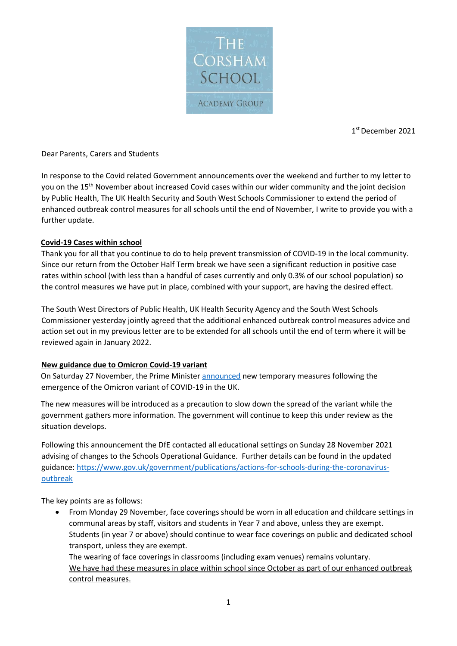

1 st December 2021

#### Dear Parents, Carers and Students

In response to the Covid related Government announcements over the weekend and further to my letter to you on the 15<sup>th</sup> November about increased Covid cases within our wider community and the joint decision by Public Health, The UK Health Security and South West Schools Commissioner to extend the period of enhanced outbreak control measures for all schools until the end of November, I write to provide you with a further update.

#### **Covid-19 Cases within school**

Thank you for all that you continue to do to help prevent transmission of COVID-19 in the local community. Since our return from the October Half Term break we have seen a significant reduction in positive case rates within school (with less than a handful of cases currently and only 0.3% of our school population) so the control measures we have put in place, combined with your support, are having the desired effect.

The South West Directors of Public Health, UK Health Security Agency and the South West Schools Commissioner yesterday jointly agreed that the additional enhanced outbreak control measures advice and action set out in my previous letter are to be extended for all schools until the end of term where it will be reviewed again in January 2022.

### **New guidance due to Omicron Covid-19 variant**

On Saturday 27 November, the Prime Minister [announced](https://www.gov.uk/government/news/prime-minister-sets-out-new-measures-as-omicron-variant-identified-in-uk-27-november-2021?utm_source=28%20November%202021%20C19&utm_medium=Daily%20Email%20C19&utm_campaign=DfE%20C19) new temporary measures following the emergence of the Omicron variant of COVID-19 in the UK.

The new measures will be introduced as a precaution to slow down the spread of the variant while the government gathers more information. The government will continue to keep this under review as the situation develops.

Following this announcement the DfE contacted all educational settings on Sunday 28 November 2021 advising of changes to the Schools Operational Guidance. Further details can be found in the updated guidance: [https://www.gov.uk/government/publications/actions-for-schools-during-the-coronavirus](https://www.gov.uk/government/publications/actions-for-schools-during-the-coronavirus-outbreak)[outbreak](https://www.gov.uk/government/publications/actions-for-schools-during-the-coronavirus-outbreak)

The key points are as follows:

• From Monday 29 November, face coverings should be worn in all education and childcare settings in communal areas by staff, visitors and students in Year 7 and above, unless they are exempt. Students (in year 7 or above) should continue to wear face coverings on public and dedicated school transport, unless they are exempt.

The wearing of face coverings in classrooms (including exam venues) remains voluntary. We have had these measures in place within school since October as part of our enhanced outbreak control measures.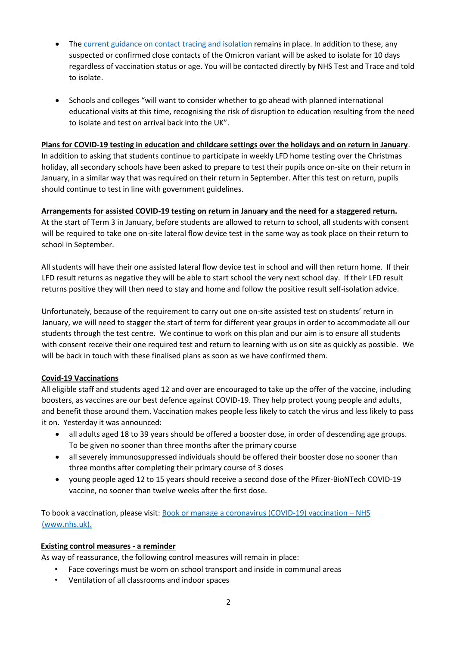- The [current guidance on contact tracing and isolation](https://www.gov.uk/government/publications/covid-19-stay-at-home-guidance/stay-at-home-guidance-for-households-with-possible-coronavirus-covid-19-infection?utm_source=28%20November%202021%20C19&utm_medium=Daily%20Email%20C19&utm_campaign=DfE%20C19) remains in place. In addition to these, any suspected or confirmed close contacts of the Omicron variant will be asked to isolate for 10 days regardless of vaccination status or age. You will be contacted directly by NHS Test and Trace and told to isolate.
- Schools and colleges "will want to consider whether to go ahead with planned international educational visits at this time, recognising the risk of disruption to education resulting from the need to isolate and test on arrival back into the UK".

### **Plans for COVID-19 testing in education and childcare settings over the holidays and on return in January**.

In addition to asking that students continue to participate in weekly LFD home testing over the Christmas holiday, all secondary schools have been asked to prepare to test their pupils once on-site on their return in January, in a similar way that was required on their return in September. After this test on return, pupils should continue to test in line with government guidelines.

# **Arrangements for assisted COVID-19 testing on return in January and the need for a staggered return.**

At the start of Term 3 in January, before students are allowed to return to school, all students with consent will be required to take one on-site lateral flow device test in the same way as took place on their return to school in September.

All students will have their one assisted lateral flow device test in school and will then return home. If their LFD result returns as negative they will be able to start school the very next school day. If their LFD result returns positive they will then need to stay and home and follow the positive result self-isolation advice.

Unfortunately, because of the requirement to carry out one on-site assisted test on students' return in January, we will need to stagger the start of term for different year groups in order to accommodate all our students through the test centre. We continue to work on this plan and our aim is to ensure all students with consent receive their one required test and return to learning with us on site as quickly as possible. We will be back in touch with these finalised plans as soon as we have confirmed them.

### **Covid-19 Vaccinations**

All eligible staff and students aged 12 and over are encouraged to take up the offer of the vaccine, including boosters, as vaccines are our best defence against COVID-19. They help protect young people and adults, and benefit those around them. Vaccination makes people less likely to catch the virus and less likely to pass it on. Yesterday it was announced:

- all adults aged 18 to 39 years should be offered a booster dose, in order of descending age groups. To be given no sooner than three months after the primary course
- all severely immunosuppressed individuals should be offered their booster dose no sooner than three months after completing their primary course of 3 doses
- young people aged 12 to 15 years should receive a second dose of the Pfizer-BioNTech COVID-19 vaccine, no sooner than twelve weeks after the first dose.

To book a vaccination, please visit: [Book or manage a coronavirus \(COVID-19\) vaccination](https://www.nhs.uk/conditions/coronavirus-covid-19/coronavirus-vaccination/book-coronavirus-vaccination/) [–](https://www.nhs.uk/conditions/coronavirus-covid-19/coronavirus-vaccination/book-coronavirus-vaccination/) [NHS](https://www.nhs.uk/conditions/coronavirus-covid-19/coronavirus-vaccination/book-coronavirus-vaccination/)  [\(www.nhs.uk\).](https://www.nhs.uk/conditions/coronavirus-covid-19/coronavirus-vaccination/book-coronavirus-vaccination/)

### **Existing control measures - a reminder**

As way of reassurance, the following control measures will remain in place:

- Face coverings must be worn on school transport and inside in communal areas
- Ventilation of all classrooms and indoor spaces